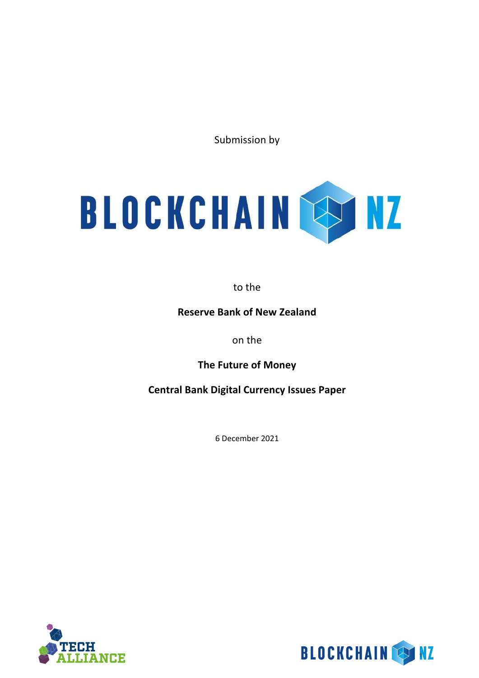Submission by



to the

**Reserve Bank of New Zealand**

on the

**The Future of Money** 

**Central Bank Digital Currency Issues Paper**

6 December 2021



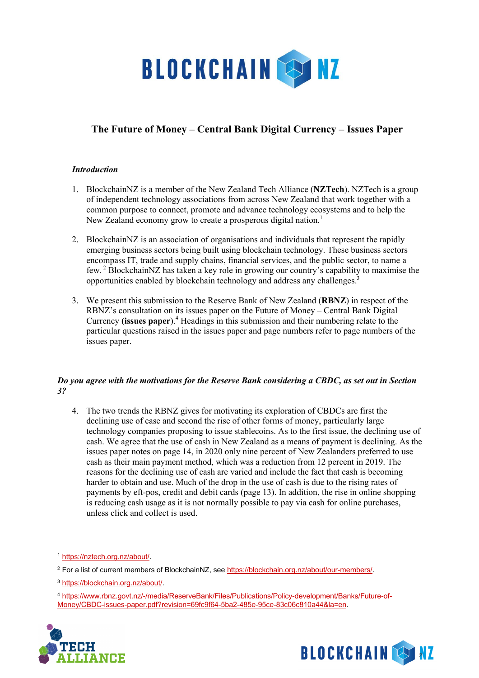

# **The Future of Money – Central Bank Digital Currency – Issues Paper**

## *Introduction*

- 1. BlockchainNZ is a member of the New Zealand Tech Alliance (**NZTech**). NZTech is a group of independent technology associations from across New Zealand that work together with a common purpose to connect, promote and advance technology ecosystems and to help the New Zealand economy grow to create a prosperous digital nation.<sup>1</sup>
- 2. BlockchainNZ is an association of organisations and individuals that represent the rapidly emerging business sectors being built using blockchain technology. These business sectors encompass IT, trade and supply chains, financial services, and the public sector, to name a few. <sup>2</sup> BlockchainNZ has taken a key role in growing our country's capability to maximise the opportunities enabled by blockchain technology and address any challenges.<sup>3</sup>
- 3. We present this submission to the Reserve Bank of New Zealand (**RBNZ**) in respect of the RBNZ's consultation on its issues paper on the Future of Money – Central Bank Digital Currency **(issues paper**).4 Headings in this submission and their numbering relate to the particular questions raised in the issues paper and page numbers refer to page numbers of the issues paper.

#### *Do you agree with the motivations for the Reserve Bank considering a CBDC, as set out in Section 3?*

4. The two trends the RBNZ gives for motivating its exploration of CBDCs are first the declining use of case and second the rise of other forms of money, particularly large technology companies proposing to issue stablecoins. As to the first issue, the declining use of cash. We agree that the use of cash in New Zealand as a means of payment is declining. As the issues paper notes on page 14, in 2020 only nine percent of New Zealanders preferred to use cash as their main payment method, which was a reduction from 12 percent in 2019. The reasons for the declining use of cash are varied and include the fact that cash is becoming harder to obtain and use. Much of the drop in the use of cash is due to the rising rates of payments by eft-pos, credit and debit cards (page 13). In addition, the rise in online shopping is reducing cash usage as it is not normally possible to pay via cash for online purchases, unless click and collect is used.

<sup>4</sup> https://www.rbnz.govt.nz/-/media/ReserveBank/Files/Publications/Policy-development/Banks/Future-of-Money/CBDC-issues-paper.pdf?revision=69fc9f64-5ba2-485e-95ce-83c06c810a44&la=en.





<sup>1</sup> https://nztech.org.nz/about/.

<sup>&</sup>lt;sup>2</sup> For a list of current members of BlockchainNZ, see https://blockchain.org.nz/about/our-members/.

<sup>3</sup> https://blockchain.org.nz/about/.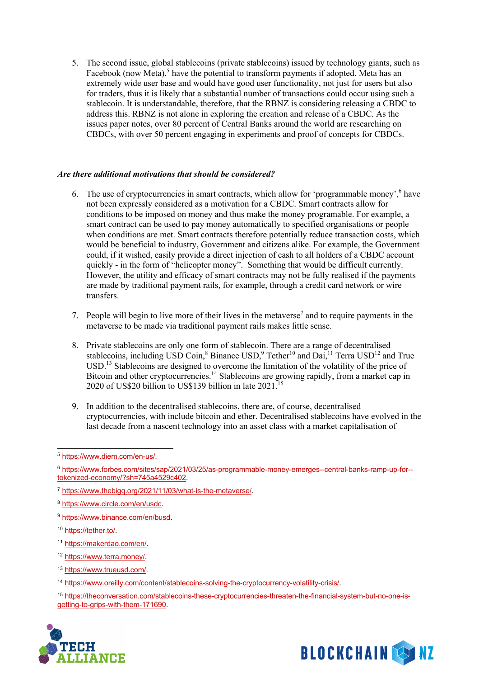5. The second issue, global stablecoins (private stablecoins) issued by technology giants, such as Facebook (now Meta),<sup>5</sup> have the potential to transform payments if adopted. Meta has an extremely wide user base and would have good user functionality, not just for users but also for traders, thus it is likely that a substantial number of transactions could occur using such a stablecoin. It is understandable, therefore, that the RBNZ is considering releasing a CBDC to address this. RBNZ is not alone in exploring the creation and release of a CBDC. As the issues paper notes, over 80 percent of Central Banks around the world are researching on CBDCs, with over 50 percent engaging in experiments and proof of concepts for CBDCs.

#### *Are there additional motivations that should be considered?*

- 6. The use of cryptocurrencies in smart contracts, which allow for 'programmable money',  $6$  have not been expressly considered as a motivation for a CBDC. Smart contracts allow for conditions to be imposed on money and thus make the money programable. For example, a smart contract can be used to pay money automatically to specified organisations or people when conditions are met. Smart contracts therefore potentially reduce transaction costs, which would be beneficial to industry, Government and citizens alike. For example, the Government could, if it wished, easily provide a direct injection of cash to all holders of a CBDC account quickly - in the form of "helicopter money". Something that would be difficult currently. However, the utility and efficacy of smart contracts may not be fully realised if the payments are made by traditional payment rails, for example, through a credit card network or wire transfers.
- 7. People will begin to live more of their lives in the metaverse<sup>7</sup> and to require payments in the metaverse to be made via traditional payment rails makes little sense.
- 8. Private stablecoins are only one form of stablecoin. There are a range of decentralised stablecoins, including USD Coin,<sup>8</sup> Binance USD,<sup>9</sup> Tether<sup>10</sup> and Dai,<sup>11</sup> Terra USD<sup>12</sup> and True USD.<sup>13</sup> Stablecoins are designed to overcome the limitation of the volatility of the price of Bitcoin and other cryptocurrencies.<sup>14</sup> Stablecoins are growing rapidly, from a market cap in 2020 of US\$20 billion to US\$139 billion in late 2021.<sup>15</sup>
- 9. In addition to the decentralised stablecoins, there are, of course, decentralised cryptocurrencies, with include bitcoin and ether. Decentralised stablecoins have evolved in the last decade from a nascent technology into an asset class with a market capitalisation of

<sup>9</sup> https://www.binance.com/en/busd.

- <sup>11</sup> https://makerdao.com/en/.
- <sup>12</sup> https://www.terra.money/.
- <sup>13</sup> https://www.trueusd.com/.
- <sup>14</sup> https://www.oreilly.com/content/stablecoins-solving-the-cryptocurrency-volatility-crisis/.
- <sup>15</sup> https://theconversation.com/stablecoins-these-cryptocurrencies-threaten-the-financial-system-but-no-one-isgetting-to-grips-with-them-171690.





<sup>5</sup> https://www.diem.com/en-us/.

<sup>6</sup> https://www.forbes.com/sites/sap/2021/03/25/as-programmable-money-emerges--central-banks-ramp-up-for- tokenized-economy/?sh=745a4529c402.

<sup>7</sup> https://www.thebigq.org/2021/11/03/what-is-the-metaverse/.

<sup>8</sup> https://www.circle.com/en/usdc.

<sup>10</sup> https://tether.to/.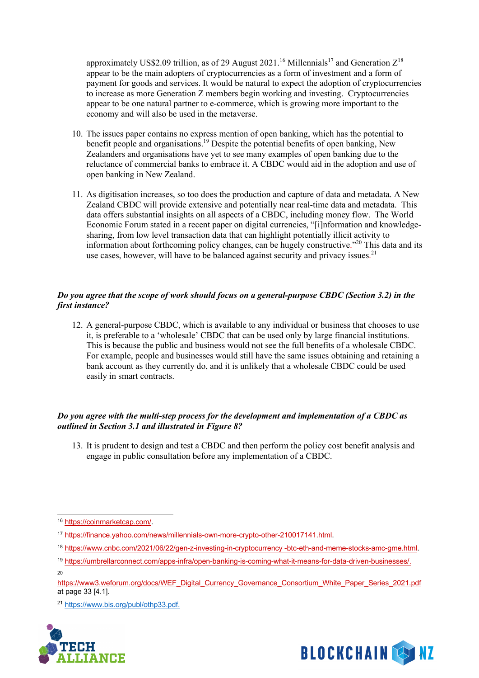approximately US\$2.09 trillion, as of 29 August 2021.<sup>16</sup> Millennials<sup>17</sup> and Generation  $Z^{18}$ appear to be the main adopters of cryptocurrencies as a form of investment and a form of payment for goods and services. It would be natural to expect the adoption of cryptocurrencies to increase as more Generation Z members begin working and investing. Cryptocurrencies appear to be one natural partner to e-commerce, which is growing more important to the economy and will also be used in the metaverse.

- 10. The issues paper contains no express mention of open banking, which has the potential to benefit people and organisations.<sup>19</sup> Despite the potential benefits of open banking, New Zealanders and organisations have yet to see many examples of open banking due to the reluctance of commercial banks to embrace it. A CBDC would aid in the adoption and use of open banking in New Zealand.
- 11. As digitisation increases, so too does the production and capture of data and metadata. A New Zealand CBDC will provide extensive and potentially near real-time data and metadata. This data offers substantial insights on all aspects of a CBDC, including money flow. The World Economic Forum stated in a recent paper on digital currencies, "[i]nformation and knowledgesharing, from low level transaction data that can highlight potentially illicit activity to information about forthcoming policy changes, can be hugely constructive."20 This data and its use cases, however, will have to be balanced against security and privacy issues.<sup>21</sup>

## *Do you agree that the scope of work should focus on a general-purpose CBDC (Section 3.2) in the first instance?*

12. A general-purpose CBDC, which is available to any individual or business that chooses to use it, is preferable to a 'wholesale' CBDC that can be used only by large financial institutions. This is because the public and business would not see the full benefits of a wholesale CBDC. For example, people and businesses would still have the same issues obtaining and retaining a bank account as they currently do, and it is unlikely that a wholesale CBDC could be used easily in smart contracts.

## *Do you agree with the multi-step process for the development and implementation of a CBDC as outlined in Section 3.1 and illustrated in Figure 8?*

13. It is prudent to design and test a CBDC and then perform the policy cost benefit analysis and engage in public consultation before any implementation of a CBDC.

- <sup>18</sup> https://www.cnbc.com/2021/06/22/gen-z-investing-in-cryptocurrency -btc-eth-and-meme-stocks-amc-gme.html.
- <sup>19</sup> https://umbrellarconnect.com/apps-infra/open-banking-is-coming-what-it-means-for-data-driven-businesses/.
- 20

<sup>21</sup> https://www.bis.org/publ/othp33.pdf.





<sup>16</sup> https://coinmarketcap.com/.

<sup>&</sup>lt;sup>17</sup> https://finance.yahoo.com/news/millennials-own-more-crypto-other-210017141.html.

https://www3.weforum.org/docs/WEF\_Digital\_Currency\_Governance\_Consortium\_White\_Paper\_Series\_2021.pdf at page 33 [4.1].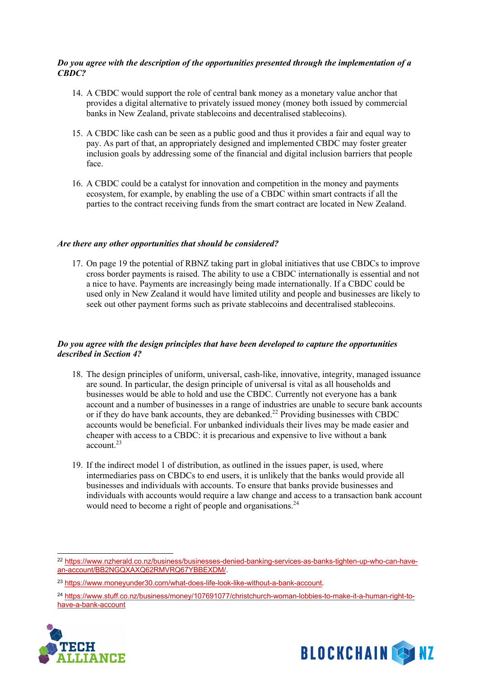#### *Do you agree with the description of the opportunities presented through the implementation of a CBDC?*

- 14. A CBDC would support the role of central bank money as a monetary value anchor that provides a digital alternative to privately issued money (money both issued by commercial banks in New Zealand, private stablecoins and decentralised stablecoins).
- 15. A CBDC like cash can be seen as a public good and thus it provides a fair and equal way to pay. As part of that, an appropriately designed and implemented CBDC may foster greater inclusion goals by addressing some of the financial and digital inclusion barriers that people face.
- 16. A CBDC could be a catalyst for innovation and competition in the money and payments ecosystem, for example, by enabling the use of a CBDC within smart contracts if all the parties to the contract receiving funds from the smart contract are located in New Zealand.

#### *Are there any other opportunities that should be considered?*

17. On page 19 the potential of RBNZ taking part in global initiatives that use CBDCs to improve cross border payments is raised. The ability to use a CBDC internationally is essential and not a nice to have. Payments are increasingly being made internationally. If a CBDC could be used only in New Zealand it would have limited utility and people and businesses are likely to seek out other payment forms such as private stablecoins and decentralised stablecoins.

#### *Do you agree with the design principles that have been developed to capture the opportunities described in Section 4?*

- 18. The design principles of uniform, universal, cash-like, innovative, integrity, managed issuance are sound. In particular, the design principle of universal is vital as all households and businesses would be able to hold and use the CBDC. Currently not everyone has a bank account and a number of businesses in a range of industries are unable to secure bank accounts or if they do have bank accounts, they are debanked.<sup>22</sup> Providing businesses with CBDC accounts would be beneficial. For unbanked individuals their lives may be made easier and cheaper with access to a CBDC: it is precarious and expensive to live without a bank account.23
- 19. If the indirect model 1 of distribution, as outlined in the issues paper, is used, where intermediaries pass on CBDCs to end users, it is unlikely that the banks would provide all businesses and individuals with accounts. To ensure that banks provide businesses and individuals with accounts would require a law change and access to a transaction bank account would need to become a right of people and organisations.<sup>24</sup>

<sup>&</sup>lt;sup>24</sup> https://www.stuff.co.nz/business/money/107691077/christchurch-woman-lobbies-to-make-it-a-human-right-tohave-a-bank-account





<sup>22</sup> https://www.nzherald.co.nz/business/businesses-denied-banking-services-as-banks-tighten-up-who-can-havean-account/BB2NGQXAXQ62RMVRQ67YBBEXDM/.

<sup>23</sup> https://www.moneyunder30.com/what-does-life-look-like-without-a-bank-account.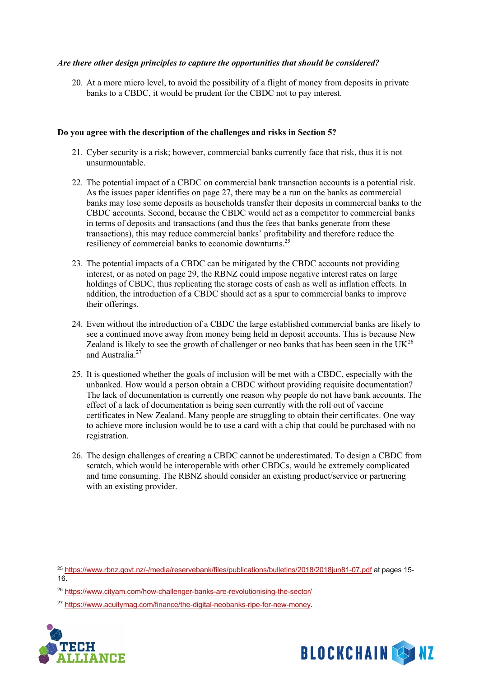#### *Are there other design principles to capture the opportunities that should be considered?*

20. At a more micro level, to avoid the possibility of a flight of money from deposits in private banks to a CBDC, it would be prudent for the CBDC not to pay interest.

#### **Do you agree with the description of the challenges and risks in Section 5?**

- 21. Cyber security is a risk; however, commercial banks currently face that risk, thus it is not unsurmountable.
- 22. The potential impact of a CBDC on commercial bank transaction accounts is a potential risk. As the issues paper identifies on page 27, there may be a run on the banks as commercial banks may lose some deposits as households transfer their deposits in commercial banks to the CBDC accounts. Second, because the CBDC would act as a competitor to commercial banks in terms of deposits and transactions (and thus the fees that banks generate from these transactions), this may reduce commercial banks' profitability and therefore reduce the resiliency of commercial banks to economic downturns.25
- 23. The potential impacts of a CBDC can be mitigated by the CBDC accounts not providing interest, or as noted on page 29, the RBNZ could impose negative interest rates on large holdings of CBDC, thus replicating the storage costs of cash as well as inflation effects. In addition, the introduction of a CBDC should act as a spur to commercial banks to improve their offerings.
- 24. Even without the introduction of a CBDC the large established commercial banks are likely to see a continued move away from money being held in deposit accounts. This is because New Zealand is likely to see the growth of challenger or neo banks that has been seen in the  $UK^{26}$ and Australia.<sup>27</sup>
- 25. It is questioned whether the goals of inclusion will be met with a CBDC, especially with the unbanked. How would a person obtain a CBDC without providing requisite documentation? The lack of documentation is currently one reason why people do not have bank accounts. The effect of a lack of documentation is being seen currently with the roll out of vaccine certificates in New Zealand. Many people are struggling to obtain their certificates. One way to achieve more inclusion would be to use a card with a chip that could be purchased with no registration.
- 26. The design challenges of creating a CBDC cannot be underestimated. To design a CBDC from scratch, which would be interoperable with other CBDCs, would be extremely complicated and time consuming. The RBNZ should consider an existing product/service or partnering with an existing provider.

<sup>27</sup> https://www.acuitymag.com/finance/the-digital-neobanks-ripe-for-new-money.





<sup>&</sup>lt;sup>25</sup> https://www.rbnz.govt.nz/-/media/reservebank/files/publications/bulletins/2018/2018jun81-07.pdf at pages 15-16.

<sup>26</sup> https://www.cityam.com/how-challenger-banks-are-revolutionising-the-sector/